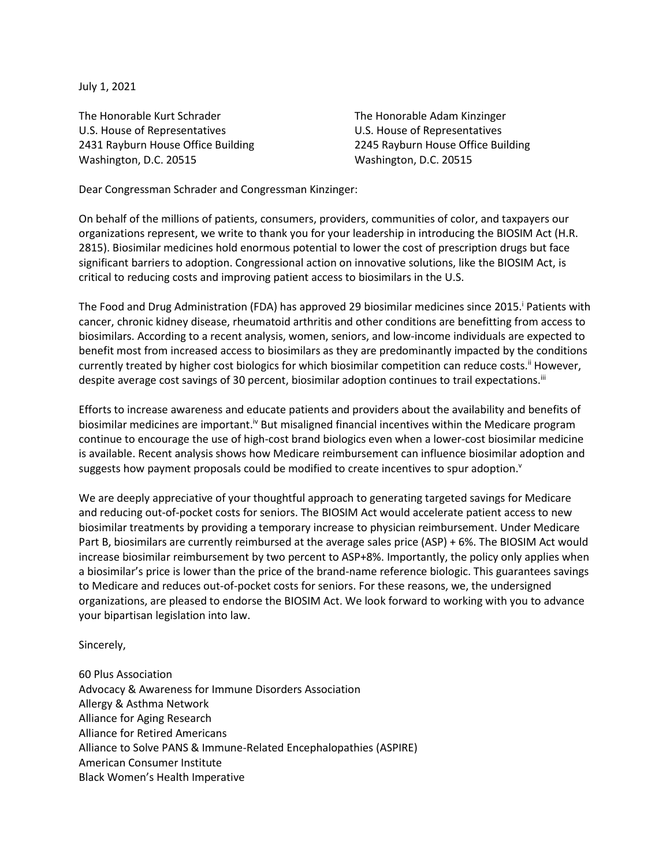July 1, 2021

The Honorable Kurt Schrader The Honorable Adam Kinzinger U.S. House of Representatives U.S. House of Representatives 2431 Rayburn House Office Building 2245 Rayburn House Office Building Washington, D.C. 20515 Washington, D.C. 20515

Dear Congressman Schrader and Congressman Kinzinger:

On behalf of the millions of patients, consumers, providers, communities of color, and taxpayers our organizations represent, we write to thank you for your leadership in introducing the BIOSIM Act (H.R. 2815). Biosimilar medicines hold enormous potential to lower the cost of prescription drugs but face significant barriers to adoption. Congressional action on innovative solutions, like the BIOSIM Act, is critical to reducing costs and improving patient access to biosimilars in the U.S.

The Food and Drug Administration (FDA) has approved 29 biosimilar medicines since 2015. Patients with cancer, chronic kidney disease, rheumatoid arthritis and other conditions are benefitting from access to biosimilars. According to a recent analysis, women, seniors, and low-income individuals are expected to benefit most from increased access to biosimilars as they are predominantly impacted by the conditions currently treated by higher cost biologics for which biosimilar competition can reduce costs.<sup>ii</sup> However, despite average cost savings of 30 percent, biosimilar adoption continues to trail expectations.<sup>iii</sup>

Efforts to increase awareness and educate patients and providers about the availability and benefits of biosimilar medicines are important.<sup>iv</sup> But misaligned financial incentives within the Medicare program continue to encourage the use of high-cost brand biologics even when a lower-cost biosimilar medicine is available. Recent analysis shows how Medicare reimbursement can influence biosimilar adoption and suggests how payment proposals could be modified to create incentives to spur adoption.<sup>v</sup>

We are deeply appreciative of your thoughtful approach to generating targeted savings for Medicare and reducing out-of-pocket costs for seniors. The BIOSIM Act would accelerate patient access to new biosimilar treatments by providing a temporary increase to physician reimbursement. Under Medicare Part B, biosimilars are currently reimbursed at the average sales price (ASP) + 6%. The BIOSIM Act would increase biosimilar reimbursement by two percent to ASP+8%. Importantly, the policy only applies when a biosimilar's price is lower than the price of the brand-name reference biologic. This guarantees savings to Medicare and reduces out-of-pocket costs for seniors. For these reasons, we, the undersigned organizations, are pleased to endorse the BIOSIM Act. We look forward to working with you to advance your bipartisan legislation into law.

Sincerely,

60 Plus Association Advocacy & Awareness for Immune Disorders Association Allergy & Asthma Network Alliance for Aging Research Alliance for Retired Americans Alliance to Solve PANS & Immune-Related Encephalopathies (ASPIRE) American Consumer Institute Black Women's Health Imperative